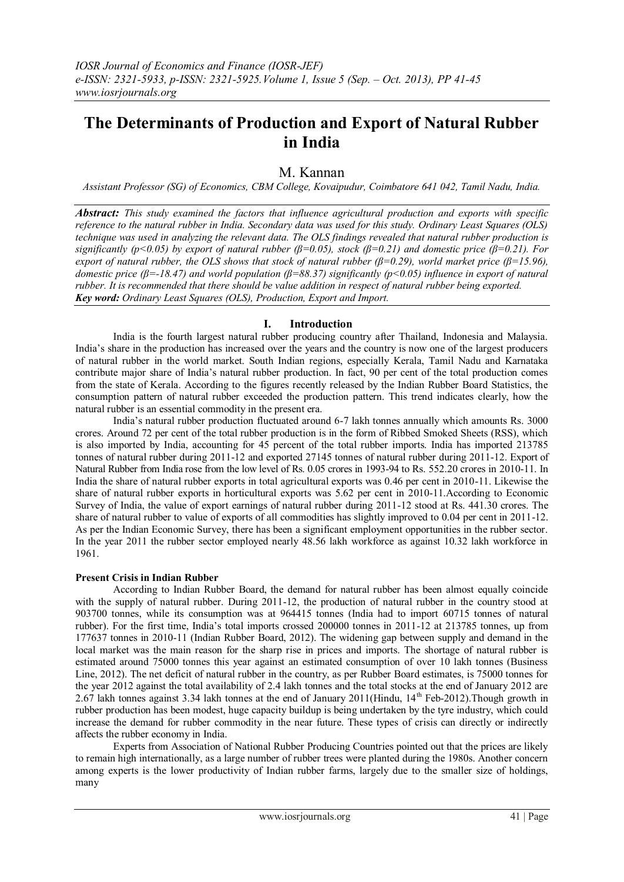# **The Determinants of Production and Export of Natural Rubber in India**

# M. Kannan

*Assistant Professor (SG) of Economics, CBM College, Kovaipudur, Coimbatore 641 042, Tamil Nadu, India.*

*Abstract: This study examined the factors that influence agricultural production and exports with specific reference to the natural rubber in India. Secondary data was used for this study. Ordinary Least Squares (OLS) technique was used in analyzing the relevant data. The OLS findings revealed that natural rubber production is significantly (p<0.05) by export of natural rubber (β=0.05), stock (β=0.21) and domestic price (β=0.21). For export of natural rubber, the OLS shows that stock of natural rubber (β=0.29), world market price (β=15.96), domestic price (β=-18.47) and world population (β=88.37) significantly (p<0.05) influence in export of natural rubber. It is recommended that there should be value addition in respect of natural rubber being exported. Key word: Ordinary Least Squares (OLS), Production, Export and Import.*

# **I. Introduction**

India is the fourth largest natural rubber producing country after Thailand, Indonesia and Malaysia. India's share in the production has increased over the years and the country is now one of the largest producers of natural rubber in the world market. South Indian regions, especially Kerala, Tamil Nadu and Karnataka contribute major share of India's natural rubber production. In fact, 90 per cent of the total production comes from the state of Kerala. According to the figures recently released by the Indian Rubber Board Statistics, the consumption pattern of natural rubber exceeded the production pattern. This trend indicates clearly, how the natural rubber is an essential commodity in the present era.

India's natural rubber production fluctuated around 6-7 lakh tonnes annually which amounts Rs. 3000 crores. Around 72 per cent of the total rubber production is in the form of Ribbed Smoked Sheets (RSS), which is also imported by India, accounting for 45 percent of the total rubber imports. India has imported 213785 tonnes of natural rubber during 2011-12 and exported 27145 tonnes of natural rubber during 2011-12. Export of Natural Rubber from India rose from the low level of Rs. 0.05 crores in 1993-94 to Rs. 552.20 crores in 2010-11. In India the share of natural rubber exports in total agricultural exports was 0.46 per cent in 2010-11. Likewise the share of natural rubber exports in horticultural exports was 5.62 per cent in 2010-11.According to Economic Survey of India, the value of export earnings of natural rubber during 2011-12 stood at Rs. 441.30 crores. The share of natural rubber to value of exports of all commodities has slightly improved to 0.04 per cent in 2011-12. As per the Indian Economic Survey, there has been a significant employment opportunities in the rubber sector. In the year 2011 the rubber sector employed nearly 48.56 lakh workforce as against 10.32 lakh workforce in 1961.

#### **Present Crisis in Indian Rubber**

According to Indian Rubber Board, the demand for natural rubber has been almost equally coincide with the supply of natural rubber. During 2011-12, the production of natural rubber in the country stood at 903700 tonnes, while its consumption was at 964415 tonnes (India had to import 60715 tonnes of natural rubber). For the first time, India's total imports crossed 200000 tonnes in 2011-12 at 213785 tonnes, up from 177637 tonnes in 2010-11 (Indian Rubber Board, 2012). The widening gap between supply and demand in the local market was the main reason for the sharp rise in prices and imports. The shortage of natural rubber is estimated around 75000 tonnes this year against an estimated consumption of over 10 lakh tonnes (Business Line, 2012). The net deficit of natural rubber in the country, as per Rubber Board estimates, is 75000 tonnes for the year 2012 against the total availability of 2.4 lakh tonnes and the total stocks at the end of January 2012 are 2.67 lakh tonnes against 3.34 lakh tonnes at the end of January 2011(Hindu,  $14<sup>th</sup>$  Feb-2012). Though growth in rubber production has been modest, huge capacity buildup is being undertaken by the tyre industry, which could increase the demand for rubber commodity in the near future. These types of crisis can directly or indirectly affects the rubber economy in India.

Experts from Association of National Rubber Producing Countries pointed out that the prices are likely to remain high internationally, as a large number of rubber trees were planted during the 1980s. Another concern among experts is the lower productivity of Indian rubber farms, largely due to the smaller size of holdings, many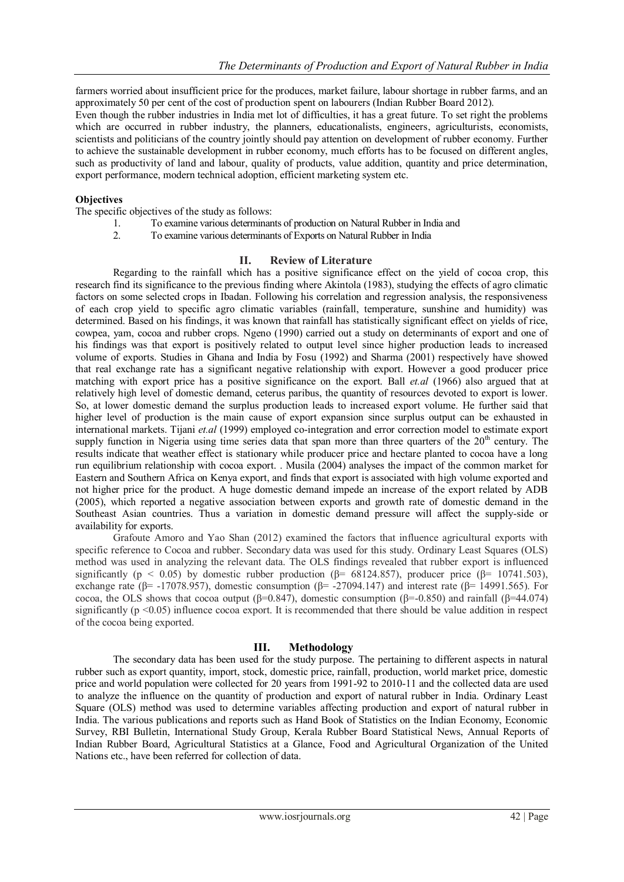farmers worried about insufficient price for the produces, market failure, labour shortage in rubber farms, and an approximately 50 per cent of the cost of production spent on labourers (Indian Rubber Board 2012).

Even though the rubber industries in India met lot of difficulties, it has a great future. To set right the problems which are occurred in rubber industry, the planners, educationalists, engineers, agriculturists, economists, scientists and politicians of the country jointly should pay attention on development of rubber economy. Further to achieve the sustainable development in rubber economy, much efforts has to be focused on different angles, such as productivity of land and labour, quality of products, value addition, quantity and price determination, export performance, modern technical adoption, efficient marketing system etc.

# **Objectives**

The specific objectives of the study as follows:

- 1. To examine various determinants of production on Natural Rubber in India and
- 2. To examine various determinants of Exports on Natural Rubber in India

# **II. Review of Literature**

Regarding to the rainfall which has a positive significance effect on the yield of cocoa crop, this research find its significance to the previous finding where Akintola (1983), studying the effects of agro climatic factors on some selected crops in Ibadan. Following his correlation and regression analysis, the responsiveness of each crop yield to specific agro climatic variables (rainfall, temperature, sunshine and humidity) was determined. Based on his findings, it was known that rainfall has statistically significant effect on yields of rice, cowpea, yam, cocoa and rubber crops. Ngeno (1990) carried out a study on determinants of export and one of his findings was that export is positively related to output level since higher production leads to increased volume of exports. Studies in Ghana and India by Fosu (1992) and Sharma (2001) respectively have showed that real exchange rate has a significant negative relationship with export. However a good producer price matching with export price has a positive significance on the export. Ball *et.al* (1966) also argued that at relatively high level of domestic demand, ceterus paribus, the quantity of resources devoted to export is lower. So, at lower domestic demand the surplus production leads to increased export volume. He further said that higher level of production is the main cause of export expansion since surplus output can be exhausted in international markets. Tijani *et.al* (1999) employed co-integration and error correction model to estimate export supply function in Nigeria using time series data that span more than three quarters of the  $20<sup>th</sup>$  century. The results indicate that weather effect is stationary while producer price and hectare planted to cocoa have a long run equilibrium relationship with cocoa export. . Musila (2004) analyses the impact of the common market for Eastern and Southern Africa on Kenya export, and finds that export is associated with high volume exported and not higher price for the product. A huge domestic demand impede an increase of the export related by ADB (2005), which reported a negative association between exports and growth rate of domestic demand in the Southeast Asian countries. Thus a variation in domestic demand pressure will affect the supply-side or availability for exports.

Grafoute Amoro and Yao Shan (2012) examined the factors that influence agricultural exports with specific reference to Cocoa and rubber. Secondary data was used for this study. Ordinary Least Squares (OLS) method was used in analyzing the relevant data. The OLS findings revealed that rubber export is influenced significantly (p < 0.05) by domestic rubber production ( $\beta$ = 68124.857), producer price ( $\beta$ = 10741.503), exchange rate (β= -17078.957), domestic consumption (β= -27094.147) and interest rate (β= 14991.565). For cocoa, the OLS shows that cocoa output (β=0.847), domestic consumption (β=-0.850) and rainfall (β=44.074) significantly ( $p \le 0.05$ ) influence cocoa export. It is recommended that there should be value addition in respect of the cocoa being exported.

# **III. Methodology**

The secondary data has been used for the study purpose. The pertaining to different aspects in natural rubber such as export quantity, import, stock, domestic price, rainfall, production, world market price, domestic price and world population were collected for 20 years from 1991-92 to 2010-11 and the collected data are used to analyze the influence on the quantity of production and export of natural rubber in India. Ordinary Least Square (OLS) method was used to determine variables affecting production and export of natural rubber in India. The various publications and reports such as Hand Book of Statistics on the Indian Economy, Economic Survey, RBI Bulletin, International Study Group, Kerala Rubber Board Statistical News, Annual Reports of Indian Rubber Board, Agricultural Statistics at a Glance, Food and Agricultural Organization of the United Nations etc., have been referred for collection of data.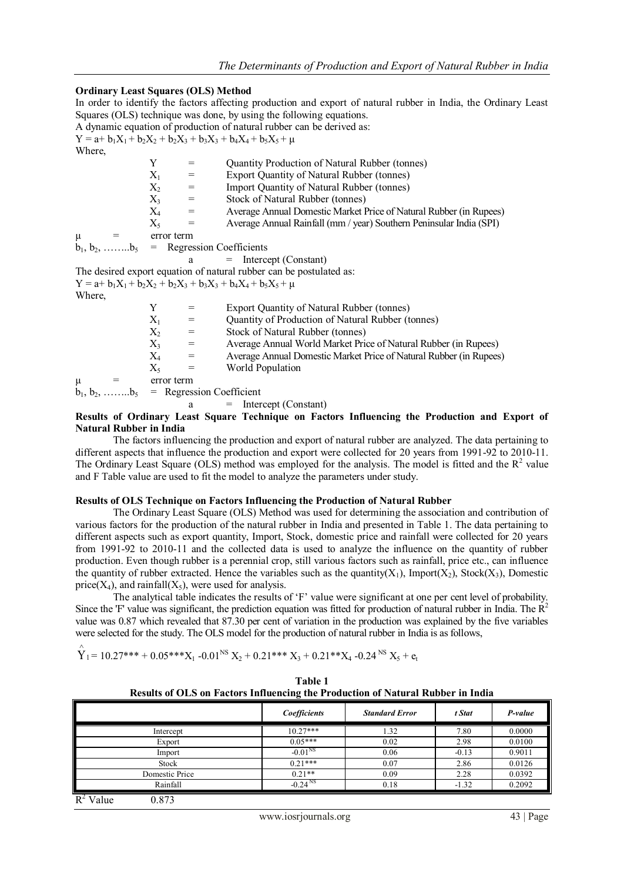#### **Ordinary Least Squares (OLS) Method**

In order to identify the factors affecting production and export of natural rubber in India, the Ordinary Least Squares (OLS) technique was done, by using the following equations.

A dynamic equation of production of natural rubber can be derived as:  $Y = a + b_1X_1 + b_2X_2 + b_2X_3 + b_3X_3 + b_4X_4 + b_5X_5 + \mu$ Where, Y = Quantity Production of Natural Rubber (tonnes)  $X_1$  = Export Quantity of Natural Rubber (tonnes)  $X_2$  = Import Quantity of Natural Rubber (tonnes)<br>  $X_3$  = Stock of Natural Rubber (tonnes)  $X_3$  = Stock of Natural Rubber (tonnes)<br> $X_4$  = Average Annual Domestic Market I Average Annual Domestic Market Price of Natural Rubber (in Rupees)  $X_5$  = Average Annual Rainfall (mm / year) Southern Peninsular India (SPI)  $\mu =$  error term  $b_1, b_2, \ldots, b_5$  = Regression Coefficients  $a =$  Intercept (Constant) The desired export equation of natural rubber can be postulated as:  $Y = a + b_1X_1 + b_2X_2 + b_2X_3 + b_3X_3 + b_4X_4 + b_5X_5 + \mu$ Where, Y = Export Quantity of Natural Rubber (tonnes)  $X_1$  = Quantity of Production of Natural Rubber (tonnes)  $X_2$  = Stock of Natural Rubber (tonnes)  $X_3$  = Average Annual World Market Price of Natural Rubber (in Rupees)<br>  $X_4$  = Average Annual Domestic Market Price of Natural Rubber (in Rupees = Average Annual Domestic Market Price of Natural Rubber (in Rupees)  $X_5$  = World Population  $\mu =$  error term  $b_1, b_2, \ldots, b_5$  = Regression Coefficient

a = Intercept (Constant)

#### **Results of Ordinary Least Square Technique on Factors Influencing the Production and Export of Natural Rubber in India**

The factors influencing the production and export of natural rubber are analyzed. The data pertaining to different aspects that influence the production and export were collected for 20 years from 1991-92 to 2010-11. The Ordinary Least Square (OLS) method was employed for the analysis. The model is fitted and the  $R^2$  value and F Table value are used to fit the model to analyze the parameters under study.

#### **Results of OLS Technique on Factors Influencing the Production of Natural Rubber**

The Ordinary Least Square (OLS) Method was used for determining the association and contribution of various factors for the production of the natural rubber in India and presented in Table 1. The data pertaining to different aspects such as export quantity, Import, Stock, domestic price and rainfall were collected for 20 years from 1991-92 to 2010-11 and the collected data is used to analyze the influence on the quantity of rubber production. Even though rubber is a perennial crop, still various factors such as rainfall, price etc., can influence the quantity of rubber extracted. Hence the variables such as the quantity( $X_1$ ), Import( $X_2$ ), Stock( $X_3$ ), Domestic price( $X_4$ ), and rainfall( $X_5$ ), were used for analysis.

The analytical table indicates the results of 'F' value were significant at one per cent level of probability. Since the 'F' value was significant, the prediction equation was fitted for production of natural rubber in India. The  $R^2$ value was 0.87 which revealed that 87.30 per cent of variation in the production was explained by the five variables were selected for the study. The OLS model for the production of natural rubber in India is as follows,

$$
\stackrel{\wedge}{Y}_{1}=10.27^{***}+0.05^{***}X_{1}\text{ -}0.01^{NS}\ X_{2}+0.21^{***}X_{3}+0.21^{**}X_{4}\text{ -}0.24^{NS}\ X_{5}+e_{t}
$$

| Table 1                                                                                |  |
|----------------------------------------------------------------------------------------|--|
| <b>Results of OLS on Factors Influencing the Production of Natural Rubber in India</b> |  |

|                                    | Coefficients          | <b>Standard Error</b> | t Stat  | P-value |
|------------------------------------|-----------------------|-----------------------|---------|---------|
| Intercept                          | $10.27***$            | 1.32                  | 7.80    | 0.0000  |
| Export                             | $0.05***$             | 0.02                  | 2.98    | 0.0100  |
| Import                             | $-0.01^{NS}$          | 0.06                  | $-0.13$ | 0.9011  |
| <b>Stock</b>                       | $0.21***$             | 0.07                  | 2.86    | 0.0126  |
| Domestic Price                     | $0.21**$              | 0.09                  | 2.28    | 0.0392  |
| Rainfall                           | $-0.24$ <sup>NS</sup> | 0.18                  | $-1.32$ | 0.2092  |
| $\mathbf{r}$ $\mathbf{r}$<br>0.052 |                       |                       |         |         |

 $R^2$  Value  $0.873$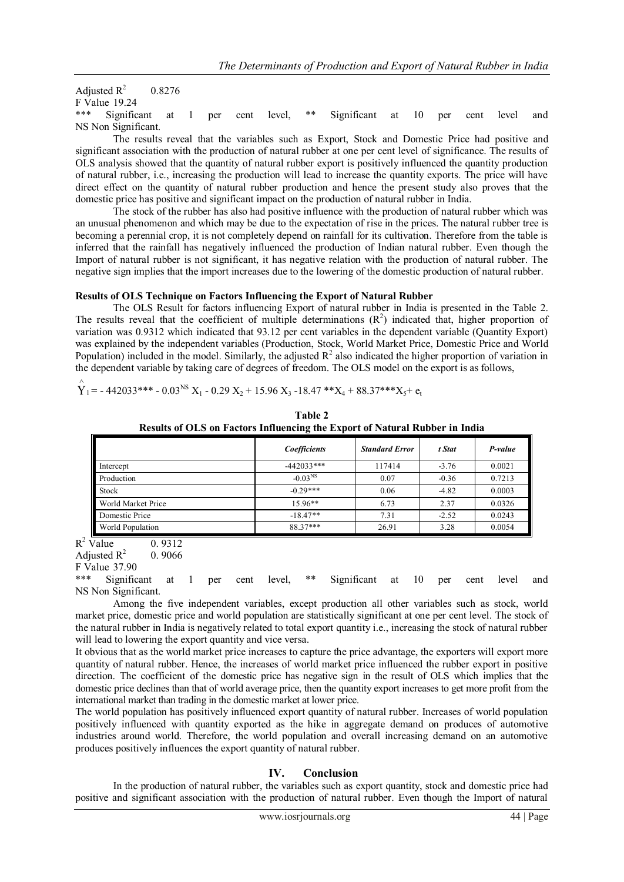Adjusted  $R^2$ 0.8276 F Value 19.24 Significant at 1 per cent level, \*\* Significant at 10 per cent level and NS Non Significant.

The results reveal that the variables such as Export, Stock and Domestic Price had positive and significant association with the production of natural rubber at one per cent level of significance. The results of OLS analysis showed that the quantity of natural rubber export is positively influenced the quantity production of natural rubber, i.e., increasing the production will lead to increase the quantity exports. The price will have direct effect on the quantity of natural rubber production and hence the present study also proves that the domestic price has positive and significant impact on the production of natural rubber in India.

The stock of the rubber has also had positive influence with the production of natural rubber which was an unusual phenomenon and which may be due to the expectation of rise in the prices. The natural rubber tree is becoming a perennial crop, it is not completely depend on rainfall for its cultivation. Therefore from the table is inferred that the rainfall has negatively influenced the production of Indian natural rubber. Even though the Import of natural rubber is not significant, it has negative relation with the production of natural rubber. The negative sign implies that the import increases due to the lowering of the domestic production of natural rubber.

# **Results of OLS Technique on Factors Influencing the Export of Natural Rubber**

The OLS Result for factors influencing Export of natural rubber in India is presented in the Table 2. The results reveal that the coefficient of multiple determinations  $(R^2)$  indicated that, higher proportion of variation was 0.9312 which indicated that 93.12 per cent variables in the dependent variable (Quantity Export) was explained by the independent variables (Production, Stock, World Market Price, Domestic Price and World Population) included in the model. Similarly, the adjusted  $R^2$  also indicated the higher proportion of variation in the dependent variable by taking care of degrees of freedom. The OLS model on the export is as follows,

 $\hat{Y}_1$  = - 442033\*\*\* - 0.03<sup>NS</sup> X<sub>1</sub> - 0.29 X<sub>2</sub> + 15.96 X<sub>3</sub> -18.47 \*\*X<sub>4</sub> + 88.37\*\*\*X<sub>5</sub>+ e<sub>t</sub>

| Table 2                                                                     |  |  |  |  |
|-----------------------------------------------------------------------------|--|--|--|--|
| Results of OLS on Factors Influencing the Export of Natural Rubber in India |  |  |  |  |

|                    | Coefficients | <b>Standard Error</b> | t Stat  | P-value |
|--------------------|--------------|-----------------------|---------|---------|
| Intercept          | $-442033***$ | 117414                | $-3.76$ | 0.0021  |
| Production         | $-0.03^{NS}$ | 0.07                  | $-0.36$ | 0.7213  |
| Stock              | $-0.29***$   | 0.06                  | $-4.82$ | 0.0003  |
| World Market Price | $15.96**$    | 6.73                  | 2.37    | 0.0326  |
| Domestic Price     | $-18.47**$   | 7.31                  | $-2.52$ | 0.0243  |
| World Population   | 88.37***     | 26.91                 | 3.28    | 0.0054  |

 $R^2$  Value 0. 9312

Adjusted  $R^2$ 0. 9066

F Value 37.90

Significant at 1 per cent level, \*\* Significant at 10 per cent level and NS Non Significant.

Among the five independent variables, except production all other variables such as stock, world market price, domestic price and world population are statistically significant at one per cent level. The stock of the natural rubber in India is negatively related to total export quantity i.e., increasing the stock of natural rubber will lead to lowering the export quantity and vice versa.

It obvious that as the world market price increases to capture the price advantage, the exporters will export more quantity of natural rubber. Hence, the increases of world market price influenced the rubber export in positive direction. The coefficient of the domestic price has negative sign in the result of OLS which implies that the domestic price declines than that of world average price, then the quantity export increases to get more profit from the international market than trading in the domestic market at lower price.

The world population has positively influenced export quantity of natural rubber. Increases of world population positively influenced with quantity exported as the hike in aggregate demand on produces of automotive industries around world. Therefore, the world population and overall increasing demand on an automotive produces positively influences the export quantity of natural rubber.

# **IV. Conclusion**

In the production of natural rubber, the variables such as export quantity, stock and domestic price had positive and significant association with the production of natural rubber. Even though the Import of natural